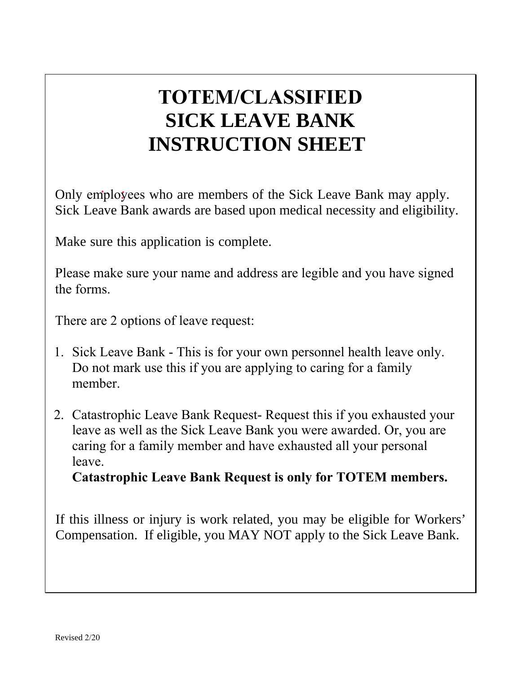## **TOTEM/CLASSIFIED SICK LEAVE BANK INSTRUCTION SHEET**

Only employees who are members of the Sick Leave Bank may apply. Sick Leave Bank awards are based upon medical necessity and eligibility.

Make sure this application is complete.

Please make sure your name and address are legible and you have signed the forms.

There are 2 options of leave request:

- 1. Sick Leave Bank This is for your own personnel health leave only. Do not mark use this if you are applying to caring for a family member.
- 2. Catastrophic Leave Bank Request- Request this if you exhausted your leave as well as the Sick Leave Bank you were awarded. Or, you are caring for a family member and have exhausted all your personal leave.

**Catastrophic Leave Bank Request is only for TOTEM members.**

If this illness or injury is work related, you may be eligible for Workers' Compensation. If eligible, you MAY NOT apply to the Sick Leave Bank.